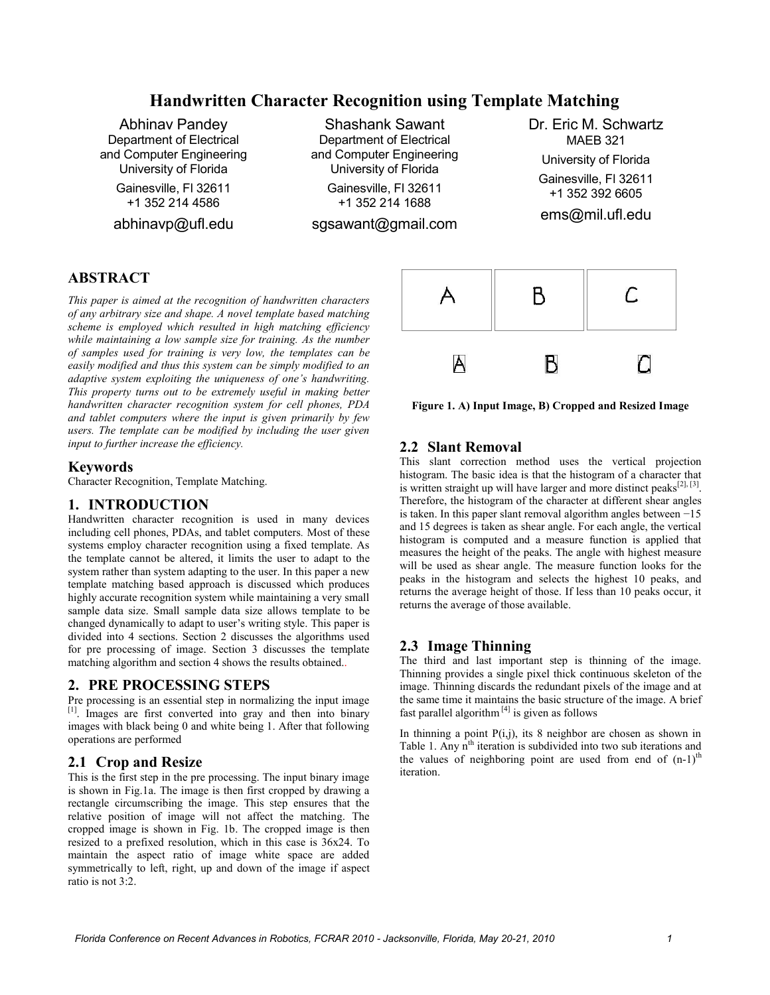# **Handwritten Character Recognition using Template Matching**

Abhinav Pandey Department of Electrical and Computer Engineering University of Florida

Gainesville, Fl 32611 +1 352 214 4586

abhinavp@ufl.edu

Shashank Sawant Department of Electrical and Computer Engineering University of Florida Gainesville, Fl 32611

+1 352 214 1688

sgsawant@gmail.com

Dr. Eric M. Schwartz MAEB 321 University of Florida Gainesville, Fl 32611 +1 352 392 6605 ems@mil.ufl.edu

## **ABSTRACT**

*This paper is aimed at the recognition of handwritten characters of any arbitrary size and shape. A novel template based matching scheme is employed which resulted in high matching efficiency while maintaining a low sample size for training. As the number of samples used for training is very low, the templates can be easily modified and thus this system can be simply modified to an adaptive system exploiting the uniqueness of one's handwriting. This property turns out to be extremely useful in making better handwritten character recognition system for cell phones, PDA and tablet computers where the input is given primarily by few users. The template can be modified by including the user given input to further increase the efficiency.* 

#### **Keywords**

Character Recognition, Template Matching.

#### **1. INTRODUCTION**

Handwritten character recognition is used in many devices including cell phones, PDAs, and tablet computers*.* Most of these systems employ character recognition using a fixed template. As the template cannot be altered, it limits the user to adapt to the system rather than system adapting to the user. In this paper a new template matching based approach is discussed which produces highly accurate recognition system while maintaining a very small sample data size. Small sample data size allows template to be changed dynamically to adapt to user's writing style. This paper is divided into 4 sections. Section 2 discusses the algorithms used for pre processing of image. Section 3 discusses the template matching algorithm and section 4 shows the results obtained..

## **2. PRE PROCESSING STEPS**

Pre processing is an essential step in normalizing the input image [1]. Images are first converted into gray and then into binary images with black being 0 and white being 1. After that following operations are performed

## **2.1 Crop and Resize**

This is the first step in the pre processing. The input binary image is shown in Fig.1a. The image is then first cropped by drawing a rectangle circumscribing the image. This step ensures that the relative position of image will not affect the matching. The cropped image is shown in Fig. 1b. The cropped image is then resized to a prefixed resolution, which in this case is 36x24. To maintain the aspect ratio of image white space are added symmetrically to left, right, up and down of the image if aspect ratio is not 3:2.



**Figure 1. A) Input Image, B) Cropped and Resized Image**

## **2.2 Slant Removal**

This slant correction method uses the vertical projection histogram. The basic idea is that the histogram of a character that is written straight up will have larger and more distinct peaks<sup>[2], [3]</sup>. Therefore, the histogram of the character at different shear angles is taken. In this paper slant removal algorithm angles between −15 and 15 degrees is taken as shear angle. For each angle, the vertical histogram is computed and a measure function is applied that measures the height of the peaks. The angle with highest measure will be used as shear angle. The measure function looks for the peaks in the histogram and selects the highest 10 peaks, and returns the average height of those. If less than 10 peaks occur, it returns the average of those available.

## **2.3 Image Thinning**

The third and last important step is thinning of the image. Thinning provides a single pixel thick continuous skeleton of the image. Thinning discards the redundant pixels of the image and at the same time it maintains the basic structure of the image. A brief fast parallel algorithm<sup>[4]</sup> is given as follows

In thinning a point  $P(i,j)$ , its 8 neighbor are chosen as shown in Table 1. Any  $n<sup>th</sup>$  iteration is subdivided into two sub iterations and the values of neighboring point are used from end of  $(n-1)$ <sup>th</sup> iteration.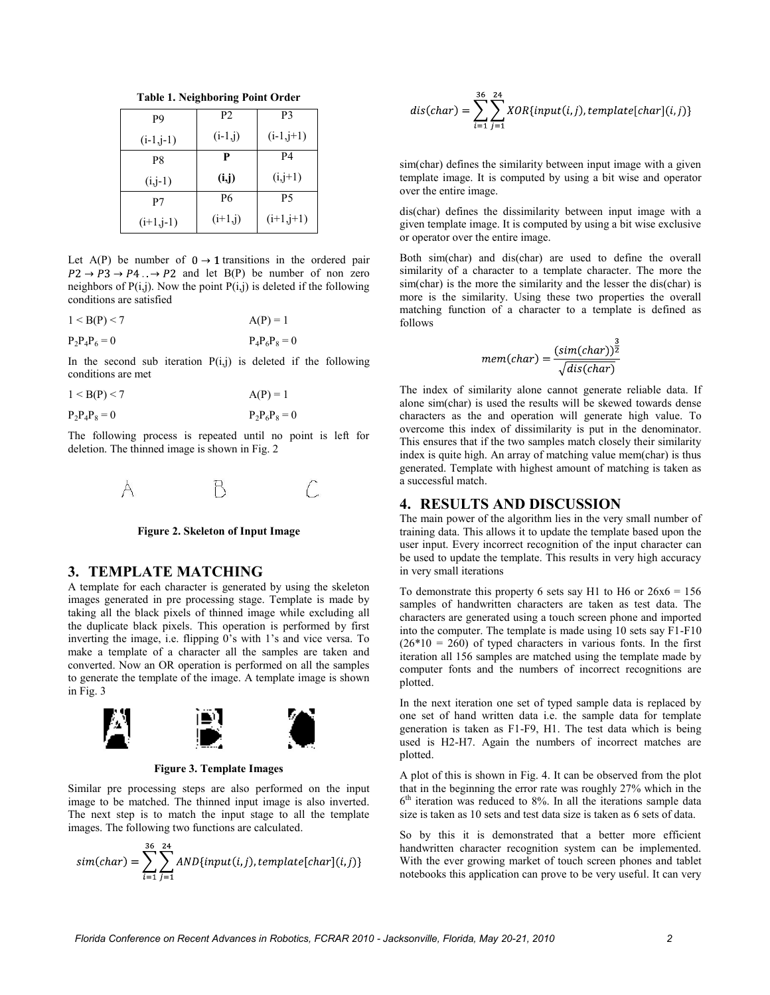**Table 1. Neighboring Point Order**

| P9          | P <sub>2</sub> | P <sub>3</sub> |
|-------------|----------------|----------------|
| $(i-1,j-1)$ | $(i-1,j)$      | $(i-1,j+1)$    |
| P8          | P              | P4             |
| $(i,j-1)$   | (i,j)          | $(i, j+1)$     |
| P7          | P6             | P5             |
| $(i+1,j-1)$ | $(i+1,i)$      | $(i+1,j+1)$    |

Let A(P) be number of  $0 \rightarrow 1$  transitions in the ordered pair  $P2 \rightarrow P3 \rightarrow P4$ .  $\rightarrow P2$  and let B(P) be number of non zero neighbors of  $P(i,j)$ . Now the point  $P(i,j)$  is deleted if the following conditions are satisfied

$$
1 < B(P) < 7 \qquad \qquad A(P) = 1
$$

$$
P_2P_4P_6 = 0 \t\t P_4P_6P_8 = 0
$$

In the second sub iteration  $P(i,j)$  is deleted if the following conditions are met

$$
1 < B(P) < 7 \qquad \qquad A(P) = 1
$$

$$
P_2P_4P_8 = 0 \t\t P_2P_6P_8 = 0
$$

The following process is repeated until no point is left for deletion. The thinned image is shown in Fig. 2





#### **3. TEMPLATE MATCHING**

A template for each character is generated by using the skeleton images generated in pre processing stage. Template is made by taking all the black pixels of thinned image while excluding all the duplicate black pixels. This operation is performed by first inverting the image, i.e. flipping 0's with 1's and vice versa. To make a template of a character all the samples are taken and converted. Now an OR operation is performed on all the samples to generate the template of the image. A template image is shown in Fig. 3



**Figure 3. Template Images**

Similar pre processing steps are also performed on the input image to be matched. The thinned input image is also inverted. The next step is to match the input stage to all the template images. The following two functions are calculated.

$$
sim(char) = \sum_{i=1}^{36} \sum_{j=1}^{24} AND\{input(i, j), template[char](i, j)\}
$$

$$
dis(char) = \sum_{i=1}^{36} \sum_{j=1}^{24} XOR \{ input(i, j), template[char](i, j) \}
$$

sim(char) defines the similarity between input image with a given template image. It is computed by using a bit wise and operator over the entire image.

dis(char) defines the dissimilarity between input image with a given template image. It is computed by using a bit wise exclusive or operator over the entire image.

Both sim(char) and dis(char) are used to define the overall similarity of a character to a template character. The more the sim(char) is the more the similarity and the lesser the dis(char) is more is the similarity. Using these two properties the overall matching function of a character to a template is defined as follows

$$
mem(char) = \frac{(sim(char))^{\frac{3}{2}}}{\sqrt{dis(char)}}
$$

The index of similarity alone cannot generate reliable data. If alone sim(char) is used the results will be skewed towards dense characters as the and operation will generate high value. To overcome this index of dissimilarity is put in the denominator. This ensures that if the two samples match closely their similarity index is quite high. An array of matching value mem(char) is thus generated. Template with highest amount of matching is taken as a successful match.

#### **4. RESULTS AND DISCUSSION**

The main power of the algorithm lies in the very small number of training data. This allows it to update the template based upon the user input. Every incorrect recognition of the input character can be used to update the template. This results in very high accuracy in very small iterations

To demonstrate this property 6 sets say H1 to H6 or  $26x6 = 156$ samples of handwritten characters are taken as test data. The characters are generated using a touch screen phone and imported into the computer. The template is made using 10 sets say F1-F10  $(26*10 = 260)$  of typed characters in various fonts. In the first iteration all 156 samples are matched using the template made by computer fonts and the numbers of incorrect recognitions are plotted.

In the next iteration one set of typed sample data is replaced by one set of hand written data i.e. the sample data for template generation is taken as F1-F9, H1. The test data which is being used is H2-H7. Again the numbers of incorrect matches are plotted.

A plot of this is shown in Fig. 4. It can be observed from the plot that in the beginning the error rate was roughly 27% which in the 6 th iteration was reduced to 8%. In all the iterations sample data size is taken as 10 sets and test data size is taken as 6 sets of data.

So by this it is demonstrated that a better more efficient handwritten character recognition system can be implemented. With the ever growing market of touch screen phones and tablet notebooks this application can prove to be very useful. It can very